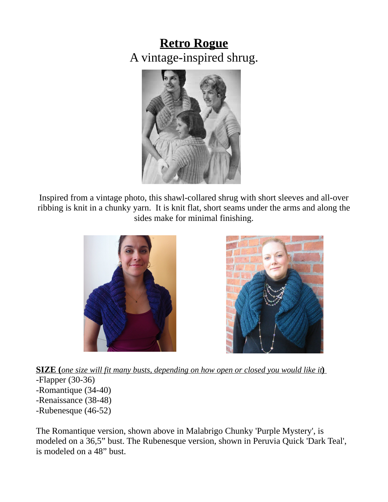# **Retro Rogue** A vintage-inspired shrug.



Inspired from a vintage photo, this shawl-collared shrug with short sleeves and all-over ribbing is knit in a chunky yarn. It is knit flat, short seams under the arms and along the sides make for minimal finishing.





**SIZE** (*one size will fit many busts, depending on how open or closed you would like it*) -Flapper (30-36) -Romantique (34-40) -Renaissance (38-48) -Rubenesque (46-52)

The Romantique version, shown above in Malabrigo Chunky 'Purple Mystery', is modeled on a 36,5" bust. The Rubenesque version, shown in Peruvia Quick 'Dark Teal', is modeled on a 48" bust.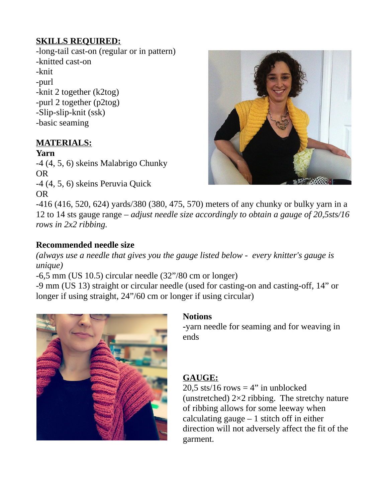### **SKILLS REQUIRED:**

-long-tail cast-on (regular or in pattern) -knitted cast-on -knit -purl -knit 2 together (k2tog) -purl 2 together (p2tog) -Slip-slip-knit (ssk) -basic seaming

# **MATERIALS:**

#### **Yarn**

-4 (4, 5, 6) skeins Malabrigo Chunky OR -4 (4, 5, 6) skeins Peruvia Quick OR



-416 (416, 520, 624) yards/380 (380, 475, 570) meters of any chunky or bulky yarn in a 12 to 14 sts gauge range – *adjust needle size accordingly to obtain a gauge of 20,5sts/16 rows in 2x2 ribbing.*

### **Recommended needle size**

*(always use a needle that gives you the gauge listed below - every knitter's gauge is unique)*

-6,5 mm (US 10.5) circular needle (32"/80 cm or longer)

-9 mm (US 13) straight or circular needle (used for casting-on and casting-off, 14" or longer if using straight, 24"/60 cm or longer if using circular)



### **Notions**

**-**yarn needle for seaming and for weaving in ends

# **GAUGE:**

20,5 sts/16 rows  $=$  4" in unblocked (unstretched) 2×2 ribbing. The stretchy nature of ribbing allows for some leeway when calculating gauge  $-1$  stitch off in either direction will not adversely affect the fit of the garment.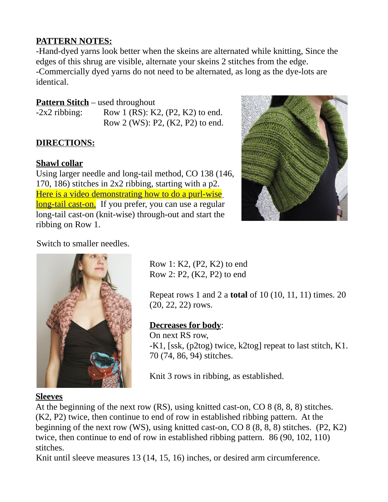### **PATTERN NOTES:**

-Hand-dyed yarns look better when the skeins are alternated while knitting, Since the edges of this shrug are visible, alternate your skeins 2 stitches from the edge. -Commercially dyed yarns do not need to be alternated, as long as the dye-lots are identical.

# **Pattern Stitch** – used throughout

 $-2x^2$  ribbing: Row 1 (RS): K2, (P2, K2) to end. Row 2 (WS): P2, (K2, P2) to end.

# **DIRECTIONS:**

# **Shawl collar**

Using larger needle and long-tail method, CO 138 (146, 170, 186) stitches in 2x2 ribbing, starting with a p2. [Here is a video demonstrating how to do a purl-wise](http://www.knittingdaily.com/blogs/daily/archive/2010/10/06/cast-on-with-eunny.aspx) [long-tail cast-on.](http://www.knittingdaily.com/blogs/daily/archive/2010/10/06/cast-on-with-eunny.aspx) If you prefer, you can use a regular long-tail cast-on (knit-wise) through-out and start the ribbing on Row 1.



# Switch to smaller needles.



Row 1: K2, (P2, K2) to end Row 2: P2, (K2, P2) to end

Repeat rows 1 and 2 a **total** of 10 (10, 11, 11) times. 20 (20, 22, 22) rows.

# **Decreases for body**:

On next RS row, -K1, [ssk, (p2tog) twice, k2tog] repeat to last stitch, K1. 70 (74, 86, 94) stitches.

Knit 3 rows in ribbing, as established.

### **Sleeves**

At the beginning of the next row (RS), using knitted cast-on, CO 8 (8, 8, 8) stitches. (K2, P2) twice, then continue to end of row in established ribbing pattern. At the beginning of the next row (WS), using knitted cast-on, CO 8 (8, 8, 8) stitches. (P2, K2) twice, then continue to end of row in established ribbing pattern. 86 (90, 102, 110) stitches.

Knit until sleeve measures 13 (14, 15, 16) inches, or desired arm circumference.